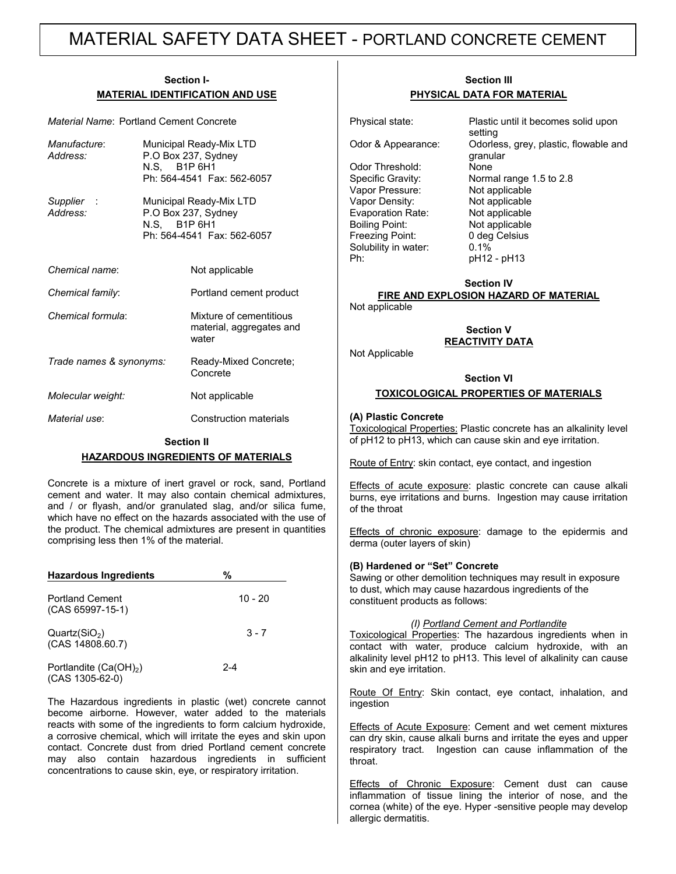# MATERIAL SAFETY DATA SHEET - PORTLAND CONCRETE CEMENT

#### **Section I-MATERIAL IDENTIFICATION AND USE**

*Material Name*: Portland Cement Concrete

| Manufacture:<br>Address: |  | Municipal Ready-Mix LTD<br>P.O Box 237, Sydney<br>N.S. B1P 6H1<br>Ph: 564-4541 Fax: 562-6057 |  |
|--------------------------|--|----------------------------------------------------------------------------------------------|--|
| Supplier:<br>Address:    |  | Municipal Ready-Mix LTD<br>P.O Box 237, Sydney<br>N.S. B1P 6H1<br>Ph: 564-4541 Fax: 562-6057 |  |
| Chemical name:           |  | Not applicable                                                                               |  |
| Chemical family:         |  | Portland cement product                                                                      |  |
| Chemical formula:        |  | Mixture of cementitious<br>material, aggregates and<br>water                                 |  |
| Trade names & synonyms:  |  | Ready-Mixed Concrete;<br>Concrete                                                            |  |
| Molecular weight:        |  | Not applicable                                                                               |  |
| Material use:            |  | Construction materials                                                                       |  |

#### **Section II**

#### **HAZARDOUS INGREDIENTS OF MATERIALS**

Concrete is a mixture of inert gravel or rock, sand, Portland cement and water. It may also contain chemical admixtures, and / or flyash, and/or granulated slag, and/or silica fume, which have no effect on the hazards associated with the use of the product. The chemical admixtures are present in quantities comprising less then 1% of the material.

| <b>Hazardous Ingredients</b>                  | %         |
|-----------------------------------------------|-----------|
| <b>Portland Cement</b><br>$(CAS 65997-15-1)$  | $10 - 20$ |
| Quartz(SiO <sub>2</sub> )<br>(CAS 14808.60.7) | $3 - 7$   |
| Portlandite $(Ca(OH)_2)$<br>$(CAS 1305-62-0)$ | $2 - 4$   |

The Hazardous ingredients in plastic (wet) concrete cannot become airborne. However, water added to the materials reacts with some of the ingredients to form calcium hydroxide, a corrosive chemical, which will irritate the eyes and skin upon contact. Concrete dust from dried Portland cement concrete may also contain hazardous ingredients in sufficient concentrations to cause skin, eye, or respiratory irritation.

## **Section III PHYSICAL DATA FOR MATERIAL**

Odor Threshold: None Vapor Pressure: Not applicable<br>
Vapor Density: Not applicable Evaporation Rate: Not applicable Boiling Point: Not applicable Freezing Point: 0 deg Celsius Solubility in water: 0.1% Ph: pH12 - pH13

Physical state: Plastic until it becomes solid upon setting Odor & Appearance: Odorless, grey, plastic, flowable and granular Specific Gravity: Normal range 1.5 to 2.8 Not applicable

## **Section IV FIRE AND EXPLOSION HAZARD OF MATERIAL**

Not applicable

Not Applicable

**Section V REACTIVITY DATA**

## **Section VI**

## **TOXICOLOGICAL PROPERTIES OF MATERIALS**

#### **(A) Plastic Concrete**

Toxicological Properties: Plastic concrete has an alkalinity level of pH12 to pH13, which can cause skin and eye irritation.

Route of Entry: skin contact, eye contact, and ingestion

Effects of acute exposure: plastic concrete can cause alkali burns, eye irritations and burns. Ingestion may cause irritation of the throat

Effects of chronic exposure: damage to the epidermis and derma (outer layers of skin)

#### **(B) Hardened or "Set" Concrete**

Sawing or other demolition techniques may result in exposure to dust, which may cause hazardous ingredients of the constituent products as follows:

#### *(I) Portland Cement and Portlandite*

Toxicological Properties: The hazardous ingredients when in contact with water, produce calcium hydroxide, with an alkalinity level pH12 to pH13. This level of alkalinity can cause skin and eye irritation.

Route Of Entry: Skin contact, eye contact, inhalation, and ingestion

Effects of Acute Exposure: Cement and wet cement mixtures can dry skin, cause alkali burns and irritate the eyes and upper respiratory tract. Ingestion can cause inflammation of the throat.

Effects of Chronic Exposure: Cement dust can cause inflammation of tissue lining the interior of nose, and the cornea (white) of the eye. Hyper -sensitive people may develop allergic dermatitis.